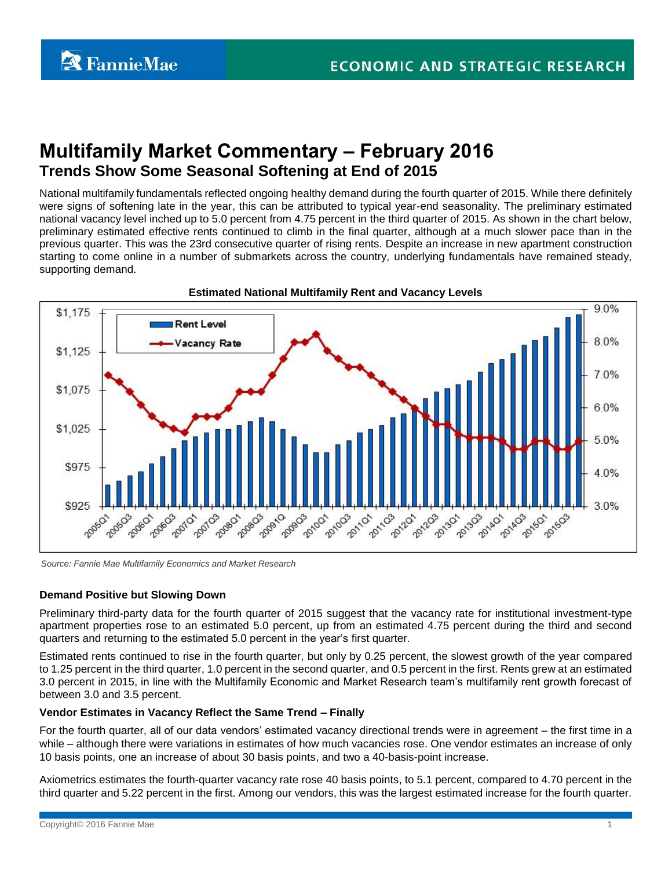# **Multifamily Market Commentary – February 2016 Trends Show Some Seasonal Softening at End of 2015**

National multifamily fundamentals reflected ongoing healthy demand during the fourth quarter of 2015. While there definitely were signs of softening late in the year, this can be attributed to typical year-end seasonality. The preliminary estimated national vacancy level inched up to 5.0 percent from 4.75 percent in the third quarter of 2015. As shown in the chart below, preliminary estimated effective rents continued to climb in the final quarter, although at a much slower pace than in the previous quarter. This was the 23rd consecutive quarter of rising rents. Despite an increase in new apartment construction starting to come online in a number of submarkets across the country, underlying fundamentals have remained steady, supporting demand.



*Source: Fannie Mae Multifamily Economics and Market Research*

## **Demand Positive but Slowing Down**

Preliminary third-party data for the fourth quarter of 2015 suggest that the vacancy rate for institutional investment-type apartment properties rose to an estimated 5.0 percent, up from an estimated 4.75 percent during the third and second quarters and returning to the estimated 5.0 percent in the year's first quarter.

Estimated rents continued to rise in the fourth quarter, but only by 0.25 percent, the slowest growth of the year compared to 1.25 percent in the third quarter, 1.0 percent in the second quarter, and 0.5 percent in the first. Rents grew at an estimated 3.0 percent in 2015, in line with the Multifamily Economic and Market Research team's multifamily rent growth forecast of between 3.0 and 3.5 percent.

#### **Vendor Estimates in Vacancy Reflect the Same Trend – Finally**

For the fourth quarter, all of our data vendors' estimated vacancy directional trends were in agreement – the first time in a while – although there were variations in estimates of how much vacancies rose. One vendor estimates an increase of only 10 basis points, one an increase of about 30 basis points, and two a 40-basis-point increase.

Axiometrics estimates the fourth-quarter vacancy rate rose 40 basis points, to 5.1 percent, compared to 4.70 percent in the third quarter and 5.22 percent in the first. Among our vendors, this was the largest estimated increase for the fourth quarter.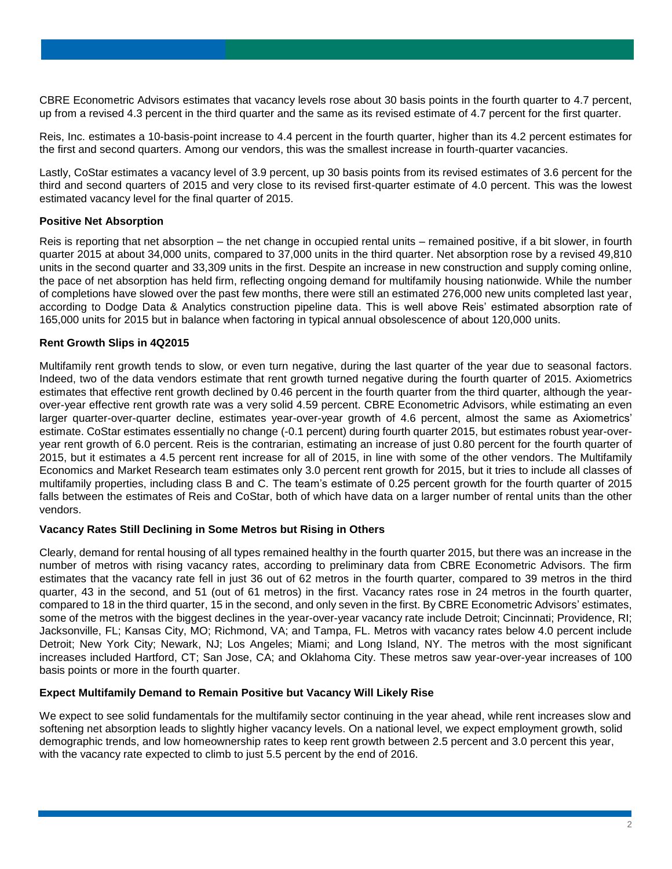CBRE Econometric Advisors estimates that vacancy levels rose about 30 basis points in the fourth quarter to 4.7 percent, up from a revised 4.3 percent in the third quarter and the same as its revised estimate of 4.7 percent for the first quarter.

Reis, Inc. estimates a 10-basis-point increase to 4.4 percent in the fourth quarter, higher than its 4.2 percent estimates for the first and second quarters. Among our vendors, this was the smallest increase in fourth-quarter vacancies.

Lastly, CoStar estimates a vacancy level of 3.9 percent, up 30 basis points from its revised estimates of 3.6 percent for the third and second quarters of 2015 and very close to its revised first-quarter estimate of 4.0 percent. This was the lowest estimated vacancy level for the final quarter of 2015.

## **Positive Net Absorption**

Reis is reporting that net absorption – the net change in occupied rental units – remained positive, if a bit slower, in fourth quarter 2015 at about 34,000 units, compared to 37,000 units in the third quarter. Net absorption rose by a revised 49,810 units in the second quarter and 33,309 units in the first. Despite an increase in new construction and supply coming online, the pace of net absorption has held firm, reflecting ongoing demand for multifamily housing nationwide. While the number of completions have slowed over the past few months, there were still an estimated 276,000 new units completed last year, according to Dodge Data & Analytics construction pipeline data. This is well above Reis' estimated absorption rate of 165,000 units for 2015 but in balance when factoring in typical annual obsolescence of about 120,000 units.

## **Rent Growth Slips in 4Q2015**

Multifamily rent growth tends to slow, or even turn negative, during the last quarter of the year due to seasonal factors. Indeed, two of the data vendors estimate that rent growth turned negative during the fourth quarter of 2015. Axiometrics estimates that effective rent growth declined by 0.46 percent in the fourth quarter from the third quarter, although the yearover-year effective rent growth rate was a very solid 4.59 percent. CBRE Econometric Advisors, while estimating an even larger quarter-over-quarter decline, estimates year-over-year growth of 4.6 percent, almost the same as Axiometrics' estimate. CoStar estimates essentially no change (-0.1 percent) during fourth quarter 2015, but estimates robust year-overyear rent growth of 6.0 percent. Reis is the contrarian, estimating an increase of just 0.80 percent for the fourth quarter of 2015, but it estimates a 4.5 percent rent increase for all of 2015, in line with some of the other vendors. The Multifamily Economics and Market Research team estimates only 3.0 percent rent growth for 2015, but it tries to include all classes of multifamily properties, including class B and C. The team's estimate of 0.25 percent growth for the fourth quarter of 2015 falls between the estimates of Reis and CoStar, both of which have data on a larger number of rental units than the other vendors.

## **Vacancy Rates Still Declining in Some Metros but Rising in Others**

Clearly, demand for rental housing of all types remained healthy in the fourth quarter 2015, but there was an increase in the number of metros with rising vacancy rates, according to preliminary data from CBRE Econometric Advisors. The firm estimates that the vacancy rate fell in just 36 out of 62 metros in the fourth quarter, compared to 39 metros in the third quarter, 43 in the second, and 51 (out of 61 metros) in the first. Vacancy rates rose in 24 metros in the fourth quarter, compared to 18 in the third quarter, 15 in the second, and only seven in the first. By CBRE Econometric Advisors' estimates, some of the metros with the biggest declines in the year-over-year vacancy rate include Detroit; Cincinnati; Providence, RI; Jacksonville, FL; Kansas City, MO; Richmond, VA; and Tampa, FL. Metros with vacancy rates below 4.0 percent include Detroit; New York City; Newark, NJ; Los Angeles; Miami; and Long Island, NY. The metros with the most significant increases included Hartford, CT; San Jose, CA; and Oklahoma City. These metros saw year-over-year increases of 100 basis points or more in the fourth quarter.

#### **Expect Multifamily Demand to Remain Positive but Vacancy Will Likely Rise**

We expect to see solid fundamentals for the multifamily sector continuing in the year ahead, while rent increases slow and softening net absorption leads to slightly higher vacancy levels. On a national level, we expect employment growth, solid demographic trends, and low homeownership rates to keep rent growth between 2.5 percent and 3.0 percent this year, with the vacancy rate expected to climb to just 5.5 percent by the end of 2016.